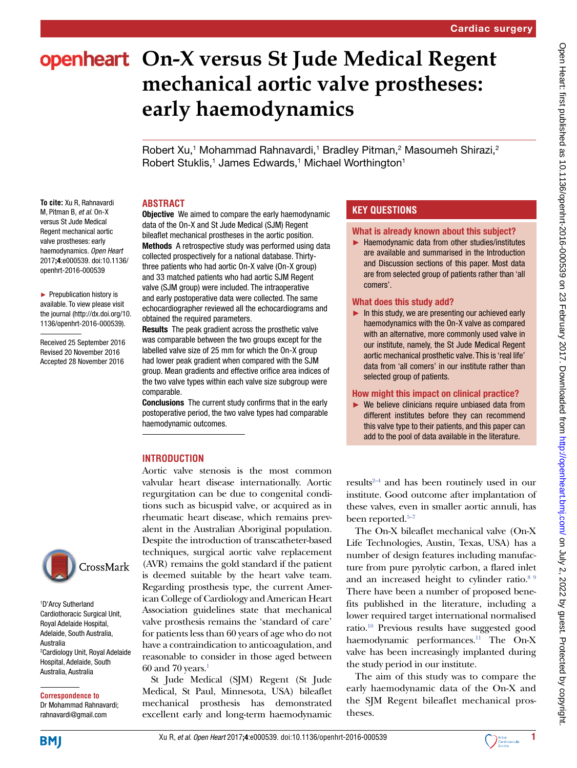# **openheart** On-X versus St Jude Medical Regent **mechanical aortic valve prostheses: early haemodynamics**

Robert Xu,<sup>1</sup> Mohammad Rahnavardi,<sup>1</sup> Bradley Pitman,<sup>2</sup> Masoumeh Shirazi,<sup>2</sup> Robert Stuklis,<sup>1</sup> James Edwards,<sup>1</sup> Michael Worthington<sup>1</sup>

### **ABSTRACT**

**To cite:** Xu R, Rahnavardi M, Pitman B*, et al*. On-X versus St Jude Medical Regent mechanical aortic valve prostheses: early haemodynamics*. Open Heart* 2017;4:e000539. doi:10.1136/ openhrt-2016-000539

► Prepublication history is available. To view please visit the journal ([http://dx.doi.org/10.](http://dx.doi.org/10.1136/openhrt-2016-000539) [1136/openhrt-2016-000539\)](http://dx.doi.org/10.1136/openhrt-2016-000539).

Received 25 September 2016 Revised 20 November 2016 Accepted 28 November 2016

**Objective** We aimed to compare the early haemodynamic data of the On-X and St Jude Medical (SJM) Regent bileaflet mechanical prostheses in the aortic position. Methods A retrospective study was performed using data collected prospectively for a national database. Thirtythree patients who had aortic On-X valve (On-X group) and 33 matched patients who had aortic SJM Regent valve (SJM group) were included. The intraoperative and early postoperative data were collected. The same echocardiographer reviewed all the echocardiograms and obtained the required parameters.

Results The peak gradient across the prosthetic valve was comparable between the two groups except for the labelled valve size of 25 mm for which the On-X group had lower peak gradient when compared with the SJM group. Mean gradients and effective orifice area indices of the two valve types within each valve size subgroup were comparable.

Conclusions The current study confirms that in the early postoperative period, the two valve types had comparable haemodynamic outcomes.

## **INTRODUCTION**

Aortic valve stenosis is the most common valvular heart disease internationally. Aortic regurgitation can be due to congenital conditions such as bicuspid valve, or acquired as in rheumatic heart disease, which remains prevalent in the Australian Aboriginal population. Despite the introduction of transcatheter-based techniques, surgical aortic valve replacement (AVR) remains the gold standard if the patient is deemed suitable by the heart valve team. Regarding prosthesis type, the current American College of Cardiology and American Heart Association guidelines state that mechanical valve prosthesis remains the 'standard of care' for patients less than 60 years of age who do not have a contraindication to anticoagulation, and reasonable to consider in those aged between  $60$  and  $70$  years.<sup>1</sup>

St Jude Medical (SJM) Regent (St Jude Medical, St Paul, Minnesota, USA) bileaflet mechanical prosthesis has demonstrated excellent early and long-term haemodynamic

# **KEY QUESTIONS**

#### What is already known about this subject?

► Haemodynamic data from other studies/institutes are available and summarised in the Introduction and Discussion sections of this paper. Most data are from selected group of patients rather than 'all comers'.

#### What does this study add?

been reported.<sup>5–7</sup>

theses.

the study period in our institute.

 $\blacktriangleright$  In this study, we are presenting our achieved early haemodynamics with the On-X valve as compared with an alternative, more commonly used valve in our institute, namely, the St Jude Medical Regent aortic mechanical prosthetic valve. This is 'real life' data from 'all comers' in our institute rather than selected group of patients.

#### How might this impact on clinical practice?

 $\blacktriangleright$  We believe clinicians require unbiased data from different institutes before they can recommend this valve type to their patients, and this paper can add to the pool of data available in the literature.

result[s2–4](#page-4-1) and has been routinely used in our institute. Good outcome after implantation of these valves, even in smaller aortic annuli, has

The On-X bileaflet mechanical valve (On-X Life Technologies, Austin, Texas, USA) has a number of design features including manufacture from pure pyrolytic carbon, a flared inlet and an increased height to cylinder ratio[.8 9](#page-4-3) There have been a number of proposed benefits published in the literature, including a lower required target international normalised ratio.[10](#page-4-4) Previous results have suggested good haemodynamic performances.<sup>11</sup> The On-X valve has been increasingly implanted during

The aim of this study was to compare the early haemodynamic data of the On-X and the SJM Regent bileaflet mechanical pros-



1 D'Arcy Sutherland Cardiothoracic Surgical Unit, Royal Adelaide Hospital, Adelaide, South Australia, Australia 2 Cardiology Unit, Royal Adelaide Hospital, Adelaide, South Australia, Australia

**Correspondence to** Dr Mohammad Rahnavardi; rahnavardi@gmail.com

**BMI** 





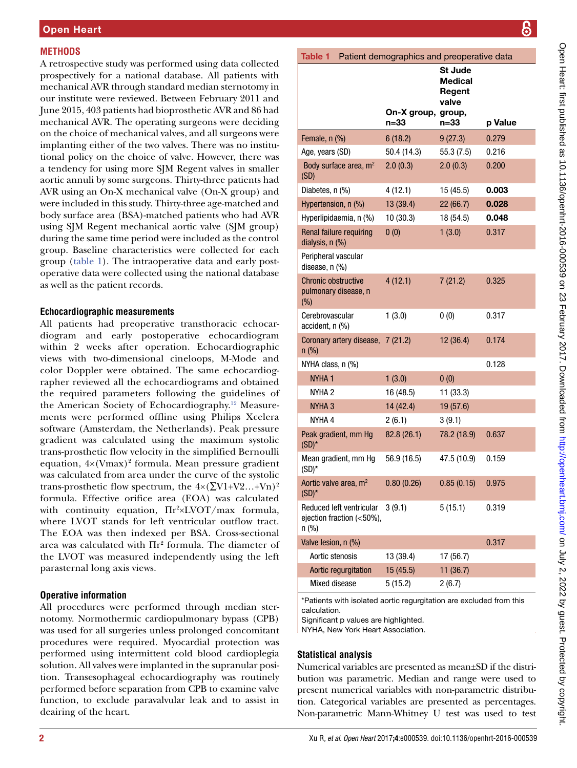# **METHODS**

A retrospective study was performed using data collected prospectively for a national database. All patients with mechanical AVR through standard median sternotomy in our institute were reviewed. Between February 2011 and June 2015, 403 patients had bioprosthetic AVR and 86 had mechanical AVR. The operating surgeons were deciding on the choice of mechanical valves, and all surgeons were implanting either of the two valves. There was no institutional policy on the choice of valve. However, there was a tendency for using more SJM Regent valves in smaller aortic annuli by some surgeons. Thirty-three patients had AVR using an On-X mechanical valve (On-X group) and were included in this study. Thirty-three age-matched and body surface area (BSA)-matched patients who had AVR using SJM Regent mechanical aortic valve (SJM group) during the same time period were included as the control group. Baseline characteristics were collected for each group ([table](#page-1-0) 1). The intraoperative data and early postoperative data were collected using the national database as well as the patient records.

# **Echocardiographic measurements**

All patients had preoperative transthoracic echocardiogram and early postoperative echocardiogram within 2 weeks after operation. Echocardiographic views with two-dimensional cineloops, M-Mode and color Doppler were obtained. The same echocardiographer reviewed all the echocardiograms and obtained the required parameters following the guidelines of the American Society of Echocardiography[.12](#page-4-6) Measurements were performed offline using Philips Xcelera software (Amsterdam, the Netherlands). Peak pressure gradient was calculated using the maximum systolic trans-prosthetic flow velocity in the simplified Bernoulli equation,  $4 \times (Vmax)^2$  formula. Mean pressure gradient was calculated from area under the curve of the systolic trans-prosthetic flow spectrum, the  $4 \times (\sum V1 + V2...+Vn)^2$ formula. Effective orifice area (EOA) was calculated with continuity equation,  $\Pi r^2 \times LVOT/max$  formula, where LVOT stands for left ventricular outflow tract. The EOA was then indexed per BSA. Cross-sectional area was calculated with  $\Pi$ r<sup>2</sup> formula. The diameter of the LVOT was measured independently using the left parasternal long axis views.

# **Operative information**

All procedures were performed through median sternotomy. Normothermic cardiopulmonary bypass (CPB) was used for all surgeries unless prolonged concomitant procedures were required. Myocardial protection was performed using intermittent cold blood cardioplegia solution. All valves were implanted in the supranular position. Transesophageal echocardiography was routinely performed before separation from CPB to examine valve function, to exclude paravalvular leak and to assist in deairing of the heart.

<span id="page-1-0"></span>

| Patient demographics and preoperative data<br>Table 1              |                            |                                                      |         |  |  |  |  |  |  |
|--------------------------------------------------------------------|----------------------------|------------------------------------------------------|---------|--|--|--|--|--|--|
|                                                                    | On-X group, group,<br>n=33 | <b>St Jude</b><br>Medical<br>Regent<br>valve<br>n=33 | p Value |  |  |  |  |  |  |
| Female, n (%)                                                      | 6(18.2)                    | 9(27.3)                                              | 0.279   |  |  |  |  |  |  |
| Age, years (SD)                                                    | 50.4 (14.3)                | 55.3(7.5)                                            | 0.216   |  |  |  |  |  |  |
| Body surface area, m <sup>2</sup><br>(SD)                          | 2.0(0.3)                   | 2.0(0.3)                                             | 0.200   |  |  |  |  |  |  |
| Diabetes, n (%)                                                    | 4(12.1)                    | 15 (45.5)                                            | 0.003   |  |  |  |  |  |  |
| Hypertension, n (%)                                                | 13 (39.4)                  | 22(66.7)                                             | 0.028   |  |  |  |  |  |  |
| Hyperlipidaemia, n (%)                                             | 10 (30.3)                  | 18 (54.5)                                            | 0.048   |  |  |  |  |  |  |
| Renal failure requiring<br>dialysis, n (%)                         | 0(0)                       | 1(3.0)                                               | 0.317   |  |  |  |  |  |  |
| Peripheral vascular<br>disease, n (%)                              |                            |                                                      |         |  |  |  |  |  |  |
| <b>Chronic obstructive</b><br>pulmonary disease, n<br>$(\% )$      | 4(12.1)                    | 7(21.2)                                              | 0.325   |  |  |  |  |  |  |
| Cerebrovascular<br>accident, n (%)                                 | 1(3.0)                     | 0(0)                                                 | 0.317   |  |  |  |  |  |  |
| Coronary artery disease, 7 (21.2)<br>$n$ (%)                       |                            | 12 (36.4)                                            | 0.174   |  |  |  |  |  |  |
| NYHA class, n (%)                                                  |                            |                                                      | 0.128   |  |  |  |  |  |  |
| NYHA <sub>1</sub>                                                  | 1(3.0)                     | 0(0)                                                 |         |  |  |  |  |  |  |
| NYHA 2                                                             | 16 (48.5)                  | 11 (33.3)                                            |         |  |  |  |  |  |  |
| <b>NYHA 3</b>                                                      | 14 (42.4)                  | 19 (57.6)                                            |         |  |  |  |  |  |  |
| NYHA 4                                                             | 2(6.1)                     | 3(9.1)                                               |         |  |  |  |  |  |  |
| Peak gradient, mm Hg<br>$(SD)^*$                                   | 82.8 (26.1)                | 78.2 (18.9)                                          | 0.637   |  |  |  |  |  |  |
| Mean gradient, mm Hg<br>$(SD)^*$                                   | 56.9 (16.5)                | 47.5 (10.9)                                          | 0.159   |  |  |  |  |  |  |
| Aortic valve area, m <sup>2</sup><br>$(SD)^*$                      | 0.80(0.26)                 | 0.85(0.15)                                           | 0.975   |  |  |  |  |  |  |
| Reduced left ventricular<br>ejection fraction (<50%),<br>$n$ (%)   | 3(9.1)                     | 5(15.1)                                              | 0.319   |  |  |  |  |  |  |
| Valve lesion, n (%)                                                |                            |                                                      | 0.317   |  |  |  |  |  |  |
| Aortic stenosis                                                    | 13 (39.4)                  | 17 (56.7)                                            |         |  |  |  |  |  |  |
| Aortic regurgitation                                               | 15 (45.5)                  | 11(36.7)                                             |         |  |  |  |  |  |  |
| Mixed disease                                                      | 5 (15.2)                   | 2(6.7)                                               |         |  |  |  |  |  |  |
| *Patients with isolated gortic requirection are evoluded from this |                            |                                                      |         |  |  |  |  |  |  |

\*Patients with isolated aortic regurgitation are excluded from this calculation.

Significant p values are highlighted.

NYHA, New York Heart Association.

# **Statistical analysis**

Numerical variables are presented as mean±SD if the distribution was parametric. Median and range were used to present numerical variables with non-parametric distribution. Categorical variables are presented as percentages. Non-parametric Mann-Whitney U test was used to test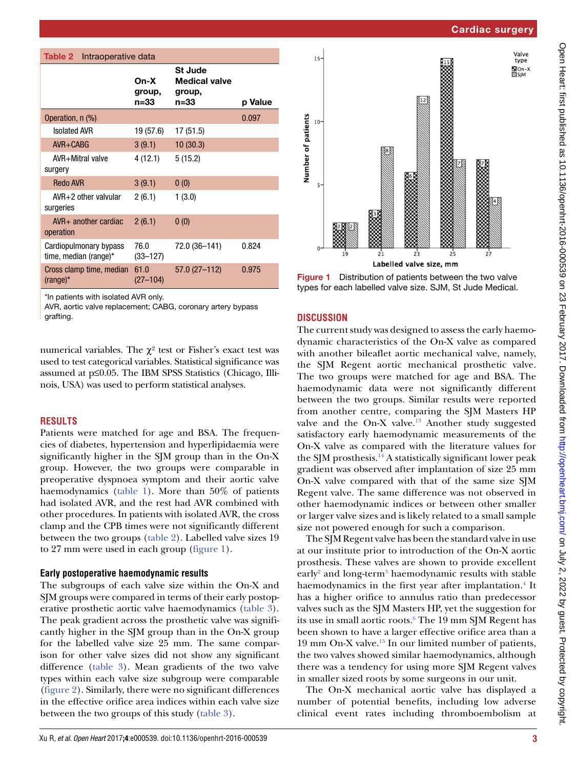|                                                 | On-X<br>group,<br>n=33 | <b>St Jude</b><br><b>Medical valve</b><br>group,<br>n=33 | p Value |                                 |
|-------------------------------------------------|------------------------|----------------------------------------------------------|---------|---------------------------------|
| Operation, n (%)                                |                        |                                                          | 0.097   | $10 -$                          |
| <b>Isolated AVR</b>                             | 19 (57.6)              | 17(51.5)                                                 |         |                                 |
| $AVR + CABG$                                    | 3(9.1)                 | 10(30.3)                                                 |         |                                 |
| AVR+Mitral valve<br>surgery                     | 4(12.1)                | 5(15.2)                                                  |         | Number of patients              |
| <b>Redo AVR</b>                                 | 3(9.1)                 | 0(0)                                                     |         | $5-$                            |
| $AVR+2$ other valvular<br>surgeries             | 2(6.1)                 | 1(3.0)                                                   |         |                                 |
| $AVR+$ another cardiac<br>operation             | 2(6.1)                 | 0(0)                                                     |         |                                 |
| Cardiopulmonary bypass<br>time, median (range)* | 76.0<br>$(33 - 127)$   | 72.0 (36-141)                                            | 0.824   | 0                               |
| Cross clamp time, median<br>$(range)^{*}$       | 61.0<br>$(27 - 104)$   | $57.0(27-112)$                                           | 0.975   | <b>Figure 1</b><br>types for ea |
|                                                 |                        |                                                          |         |                                 |

\*In patients with isolated AVR only.

<span id="page-2-0"></span>Table 2 Intraoperative data

AVR, aortic valve replacement; CABG, coronary artery bypass grafting.

numerical variables. The  $\chi^2$  test or Fisher's exact test was used to test categorical variables. Statistical significance was assumed at p≤0.05. The IBM SPSS Statistics (Chicago, Illinois, USA) was used to perform statistical analyses.

## **RESULTS**

Patients were matched for age and BSA. The frequencies of diabetes, hypertension and hyperlipidaemia were significantly higher in the SJM group than in the On-X group. However, the two groups were comparable in preoperative dyspnoea symptom and their aortic valve haemodynamics ([table](#page-1-0) 1). More than 50% of patients had isolated AVR, and the rest had AVR combined with other procedures. In patients with isolated AVR, the cross clamp and the CPB times were not significantly different between the two groups [\(table](#page-2-0) 2). Labelled valve sizes 19 to 27 mm were used in each group [\(figure](#page-2-1) 1).

## **Early postoperative haemodynamic results**

The subgroups of each valve size within the On-X and SJM groups were compared in terms of their early postoperative prosthetic aortic valve haemodynamics [\(table](#page-3-0) 3). The peak gradient across the prosthetic valve was significantly higher in the SJM group than in the On-X group for the labelled valve size 25 mm. The same comparison for other valve sizes did not show any significant difference [\(table](#page-3-0) 3). Mean gradients of the two valve types within each valve size subgroup were comparable ([figure](#page-3-1) 2). Similarly, there were no significant differences in the effective orifice area indices within each valve size between the two groups of this study ([table](#page-3-0) 3).



<span id="page-2-1"></span>istribution of patients between the two valve ch labelled valve size. SJM, St Jude Medical.

## **DISCUSSION**

The current study was designed to assess the early haemodynamic characteristics of the On-X valve as compared with another bileaflet aortic mechanical valve, namely, the SJM Regent aortic mechanical prosthetic valve. The two groups were matched for age and BSA. The haemodynamic data were not significantly different between the two groups. Similar results were reported from another centre, comparing the SJM Masters HP valve and the On-X valve.[13](#page-4-7) Another study suggested satisfactory early haemodynamic measurements of the On-X valve as compared with the literature values for the SJM prosthesis[.14](#page-4-8) A statistically significant lower peak gradient was observed after implantation of size 25 mm On-X valve compared with that of the same size SJM Regent valve. The same difference was not observed in other haemodynamic indices or between other smaller or larger valve sizes and is likely related to a small sample size not powered enough for such a comparison.

The SJM Regent valve has been the standard valve in use at our institute prior to introduction of the On-X aortic prosthesis. These valves are shown to provide excellent early<sup>[2](#page-4-1)</sup> and long-term<sup>[3](#page-4-9)</sup> haemodynamic results with stable haemodynamics in the first year after implantation.<sup>[4](#page-4-10)</sup> It has a higher orifice to annulus ratio than predecessor valves such as the SJM Masters HP, yet the suggestion for its use in small aortic roots[.6](#page-4-11) The 19 mm SJM Regent has been shown to have a larger effective orifice area than a 19 mm On-X valve.[15](#page-4-12) In our limited number of patients, the two valves showed similar haemodynamics, although there was a tendency for using more SJM Regent valves in smaller sized roots by some surgeons in our unit.

The On-X mechanical aortic valve has displayed a number of potential benefits, including low adverse clinical event rates including thromboembolism at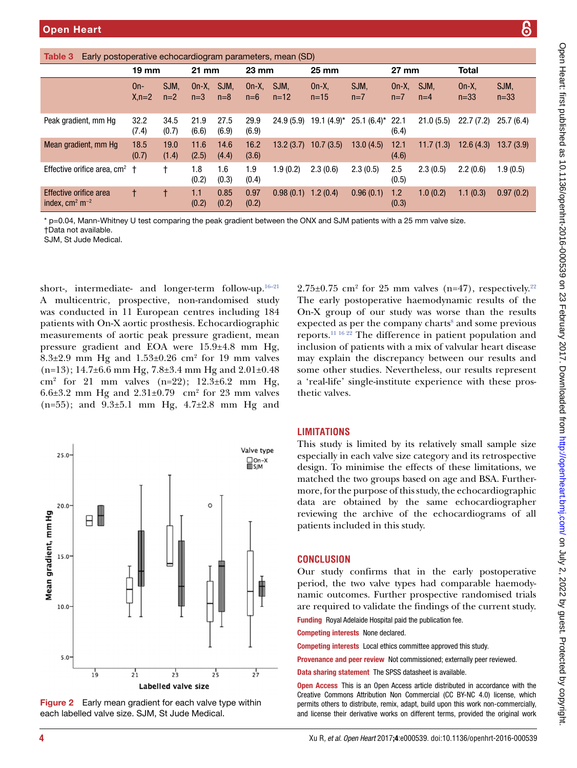<span id="page-3-0"></span>

| Table 3<br>Early postoperative echocardiogram parameters, mean (SD) |                 |               |                 |               |                 |                |                    |               |                 |               |                  |                |
|---------------------------------------------------------------------|-----------------|---------------|-----------------|---------------|-----------------|----------------|--------------------|---------------|-----------------|---------------|------------------|----------------|
|                                                                     | $19 \text{ mm}$ |               | $21 \text{ mm}$ |               | $23 \text{ mm}$ |                | $25 \, \text{mm}$  |               | $27 \text{ mm}$ |               | <b>Total</b>     |                |
|                                                                     | On-<br>$X, n=2$ | SJM.<br>$n=2$ | $On-X$<br>$n=3$ | SJM,<br>$n=8$ | $On-X$<br>$n=6$ | SJM,<br>$n=12$ | $On-X$<br>$n = 15$ | SJM,<br>$n=7$ | $On-X$<br>$n=7$ | SJM.<br>$n=4$ | $On-X$<br>$n=33$ | SJM,<br>$n=33$ |
| Peak gradient, mm Hg                                                | 32.2<br>(7.4)   | 34.5<br>(0.7) | 21.9<br>(6.6)   | 27.5<br>(6.9) | 29.9<br>(6.9)   | 24.9(5.9)      | $19.1 (4.9)^*$     | $25.1(6.4)$ * | 22.1<br>(6.4)   | 21.0(5.5)     | 22.7(7.2)        | 25.7(6.4)      |
| Mean gradient, mm Hg                                                | 18.5<br>(0.7)   | 19.0<br>(1.4) | 11.6<br>(2.5)   | 14.6<br>(4.4) | 16.2<br>(3.6)   | 13.2(3.7)      | 10.7(3.5)          | 13.0(4.5)     | 12.1<br>(4.6)   | 11.7(1.3)     | 12.6(4.3)        | 13.7(3.9)      |
| Effective orifice area, $cm2$ +                                     |                 |               | 1.8<br>(0.2)    | 1.6<br>(0.3)  | 1.9<br>(0.4)    | 1.9(0.2)       | 2.3(0.6)           | 2.3(0.5)      | 2.5<br>(0.5)    | 2.3(0.5)      | 2.2(0.6)         | 1.9(0.5)       |
| Effective orifice area<br>index, $\text{cm}^2 \text{ m}^{-2}$       | t               |               | 1.1<br>(0.2)    | 0.85<br>(0.2) | 0.97<br>(0.2)   | 0.98(0.1)      | 1.2(0.4)           | 0.96(0.1)     | 1.2<br>(0.3)    | 1.0(0.2)      | 1.1(0.3)         | 0.97(0.2)      |

\* p=0.04, Mann-Whitney U test comparing the peak gradient between the ONX and SJM patients with a 25 mm valve size. †Data not available.

SJM, St Jude Medical.

short-, intermediate- and longer-term follow-up. $16-21$ A multicentric, prospective, non-randomised study was conducted in 11 European centres including 184 patients with On-X aortic prosthesis. Echocardiographic measurements of aortic peak pressure gradient, mean pressure gradient and EOA were 15.9±4.8 mm Hg,  $8.3\pm2.9$  mm Hg and  $1.53\pm0.26$  cm<sup>2</sup> for 19 mm valves  $(n=13)$ ; 14.7±6.6 mm Hg, 7.8±3.4 mm Hg and 2.01±0.48 cm2 for 21 mm valves (n=22); 12.3±6.2 mm Hg, 6.6 $\pm$ 3.2 mm Hg and 2.31 $\pm$ 0.79 cm<sup>2</sup> for 23 mm valves (n=55); and 9.3±5.1 mm Hg, 4.7±2.8 mm Hg and



<span id="page-3-1"></span>Figure 2 Early mean gradient for each valve type within each labelled valve size. SJM, St Jude Medical.

## **LIMITATIONS**

thetic valves.

This study is limited by its relatively small sample size especially in each valve size category and its retrospective design. To minimise the effects of these limitations, we matched the two groups based on age and BSA. Furthermore, for the purpose of this study, the echocardiographic data are obtained by the same echocardiographer reviewing the archive of the echocardiograms of all patients included in this study.

 $2.75\pm0.75$  cm<sup>2</sup> for 25 mm valves (n=47), respectively.<sup>[22](#page-4-14)</sup> The early postoperative haemodynamic results of the On-X group of our study was worse than the results expected as per the company charts<sup>8</sup> and some previous reports[.11 16 22](#page-4-5) The difference in patient population and inclusion of patients with a mix of valvular heart disease may explain the discrepancy between our results and some other studies. Nevertheless, our results represent a 'real-life' single-institute experience with these pros-

#### **CONCLUSION**

Our study confirms that in the early postoperative period, the two valve types had comparable haemodynamic outcomes. Further prospective randomised trials are required to validate the findings of the current study.

Funding Royal Adelaide Hospital paid the publication fee.

Competing interests None declared.

Competing interests Local ethics committee approved this study.

Provenance and peer review Not commissioned; externally peer reviewed.

Data sharing statement The SPSS datasheet is available.

**Open Access** This is an Open Access article distributed in accordance with the Creative Commons Attribution Non Commercial (CC BY-NC 4.0) license, which permits others to distribute, remix, adapt, build upon this work non-commercially, and license their derivative works on different terms, provided the original work